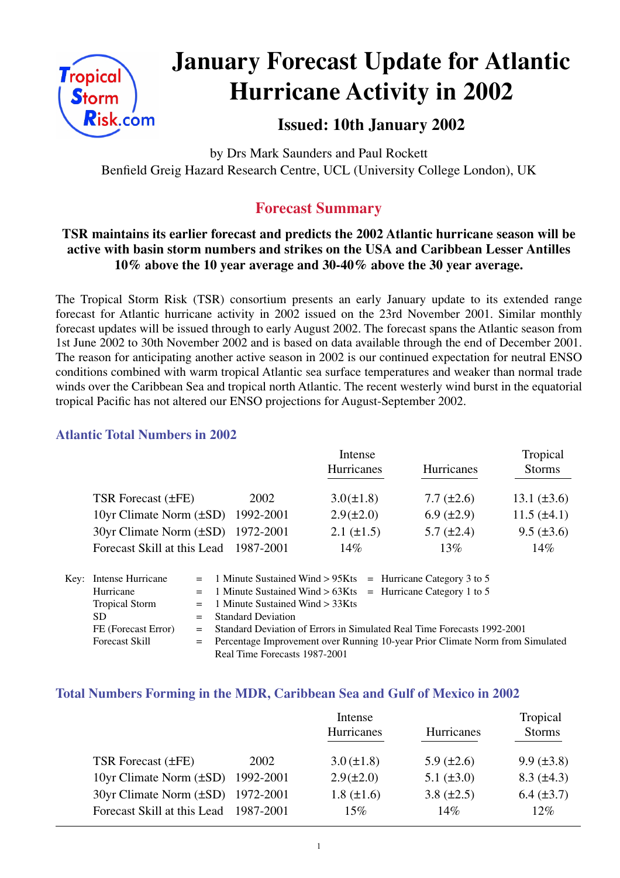

# **January Forecast Update for Atlantic Hurricane Activity in 2002**

## **Issued: 10th January 2002**

by Drs Mark Saunders and Paul Rockett Benfield Greig Hazard Research Centre, UCL (University College London), UK

# **Forecast Summary**

## **TSR maintains its earlier forecast and predicts the 2002 Atlantic hurricane season will be active with basin storm numbers and strikes on the USA and Caribbean Lesser Antilles 10% above the 10 year average and 30-40% above the 30 year average.**

The Tropical Storm Risk (TSR) consortium presents an early January update to its extended range forecast for Atlantic hurricane activity in 2002 issued on the 23rd November 2001. Similar monthly forecast updates will be issued through to early August 2002. The forecast spans the Atlantic season from 1st June 2002 to 30th November 2002 and is based on data available through the end of December 2001. The reason for anticipating another active season in 2002 is our continued expectation for neutral ENSO conditions combined with warm tropical Atlantic sea surface temperatures and weaker than normal trade winds over the Caribbean Sea and tropical north Atlantic. The recent westerly wind burst in the equatorial tropical Pacific has not altered our ENSO projections for August-September 2002.

## **Atlantic Total Numbers in 2002**

|                                        |           | Intense           |                   | Tropical         |
|----------------------------------------|-----------|-------------------|-------------------|------------------|
|                                        |           | <b>Hurricanes</b> | Hurricanes        | <b>Storms</b>    |
| TSR Forecast $(\pm FE)$                | 2002      | $3.0(\pm 1.8)$    | $7.7 (\pm 2.6)$   | 13.1 $(\pm 3.6)$ |
| 10yr Climate Norm $(\pm SD)$ 1992-2001 |           | $2.9(\pm 2.0)$    | $6.9 \ (\pm 2.9)$ | $11.5 (\pm 4.1)$ |
| 30yr Climate Norm (±SD) 1972-2001      |           | $2.1 (\pm 1.5)$   | $5.7 \ (\pm 2.4)$ | $9.5 (\pm 3.6)$  |
| Forecast Skill at this Lead            | 1987-2001 | 14%               | 13%               | 14%              |

| Key: Intense Hurricane |                                                                                 | $=$ 1 Minute Sustained Wind > 95Kts $=$ Hurricane Category 3 to 5         |  |  |
|------------------------|---------------------------------------------------------------------------------|---------------------------------------------------------------------------|--|--|
| Hurricane              |                                                                                 | $=$ 1 Minute Sustained Wind > 63Kts = Hurricane Category 1 to 5           |  |  |
| <b>Tropical Storm</b>  |                                                                                 | $=$ 1 Minute Sustained Wind $>$ 33Kts                                     |  |  |
| SD.                    |                                                                                 | $=$ Standard Deviation                                                    |  |  |
| FE (Forecast Error)    |                                                                                 | = Standard Deviation of Errors in Simulated Real Time Forecasts 1992-2001 |  |  |
| <b>Forecast Skill</b>  | = Percentage Improvement over Running 10-year Prior Climate Norm from Simulated |                                                                           |  |  |
|                        |                                                                                 | Real Time Forecasts 1987-2001                                             |  |  |

#### **Total Numbers Forming in the MDR, Caribbean Sea and Gulf of Mexico in 2002**

|                                        |      | Intense         |                   | Tropical          |
|----------------------------------------|------|-----------------|-------------------|-------------------|
|                                        |      | Hurricanes      | Hurricanes        | <b>Storms</b>     |
|                                        |      |                 |                   |                   |
| TSR Forecast (±FE)                     | 2002 | $3.0 (\pm 1.8)$ | $5.9 \ (\pm 2.6)$ | $9.9 \ (\pm 3.8)$ |
| 10yr Climate Norm $(\pm SD)$ 1992-2001 |      | $2.9(\pm 2.0)$  | $5.1 (\pm 3.0)$   | $8.3 \ (\pm 4.3)$ |
| 30yr Climate Norm (±SD) 1972-2001      |      | $1.8 (\pm 1.6)$ | $3.8 (\pm 2.5)$   | $6.4 (\pm 3.7)$   |
| Forecast Skill at this Lead 1987-2001  |      | 15%             | 14%               | $12\%$            |
|                                        |      |                 |                   |                   |